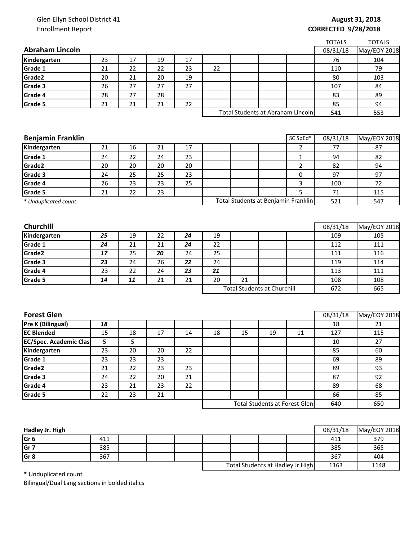## Glen Ellyn School District 41 Enrollment Report

## **August 31, 2018 CORRECTED 9/28/2018**

|                               |    |                 |                 |    |    |                                    |    |                                      | <b>TOTALS</b>  | <b>TOTALS</b>      |
|-------------------------------|----|-----------------|-----------------|----|----|------------------------------------|----|--------------------------------------|----------------|--------------------|
| <b>Abraham Lincoln</b>        |    |                 |                 |    |    |                                    |    |                                      | 08/31/18       | May/EOY 2018       |
| Kindergarten                  | 23 | 17              | 19              | 17 |    |                                    |    |                                      | 76             | 104                |
| Grade 1                       | 21 | 22              | 22              | 23 | 22 |                                    |    |                                      | 110            | 79                 |
| Grade2                        | 20 | 21              | 20              | 19 |    |                                    |    |                                      | 80             | 103                |
| Grade 3                       | 26 | 27              | 27              | 27 |    |                                    |    |                                      | 107            | 84                 |
| Grade 4                       | 28 | 27              | 28              |    |    |                                    |    |                                      | 83             | 89                 |
| Grade 5                       | 21 | 21              | 21              | 22 |    |                                    |    |                                      | 85             | 94                 |
|                               |    |                 |                 |    |    |                                    |    | Total Students at Abraham Lincoln    | 541            | 553                |
|                               |    |                 |                 |    |    |                                    |    |                                      |                |                    |
|                               |    |                 |                 |    |    |                                    |    |                                      |                |                    |
| <b>Benjamin Franklin</b>      |    |                 |                 |    |    |                                    |    | SC SpEd*                             | 08/31/18       | May/EOY 2018       |
| Kindergarten                  | 21 | 16              | 21              | 17 |    |                                    |    | $\overline{2}$                       | 77             | 87                 |
| Grade 1                       | 24 | 22              | 24              | 23 |    |                                    |    | $\mathbf{1}$                         | 94             | 82                 |
| Grade2                        | 20 | 20              | 20              | 20 |    |                                    |    | $\overline{2}$                       | 82             | 94                 |
| Grade 3                       | 24 | 25              | 25              | 23 |    |                                    |    | 0                                    | 97             | 97                 |
| Grade 4                       | 26 | 23              | 23              | 25 |    |                                    |    | 3                                    | 100            | 72                 |
| Grade 5                       | 21 | 22              | 23              |    |    |                                    |    | 5                                    | $71\,$         | 115                |
| * Unduplicated count          |    |                 |                 |    |    |                                    |    | Total Students at Benjamin Franklin  | 521            | 547                |
|                               |    |                 |                 |    |    |                                    |    |                                      |                |                    |
|                               |    |                 |                 |    |    |                                    |    |                                      |                |                    |
| Churchill                     |    |                 |                 |    |    |                                    |    |                                      | 08/31/18       | May/EOY 2018       |
| Kindergarten                  | 25 | 19              | 22              | 24 | 19 |                                    |    |                                      | 109            | 105                |
| Grade 1                       | 24 | 21              | 21              | 24 | 22 |                                    |    |                                      | 112            | 111                |
| Grade2                        | 17 | 25              | 20              | 24 | 25 |                                    |    |                                      | 111            | 116                |
| Grade 3                       | 23 | 24              | 26              | 22 | 24 |                                    |    |                                      | 119            | 114                |
| Grade 4                       | 23 | 22              | 24              | 23 | 21 |                                    |    |                                      | 113            | 111                |
| Grade 5                       | 14 | 11              | 21              | 21 | 20 | 21                                 |    |                                      | 108            | 108                |
|                               |    |                 |                 |    |    | <b>Total Students at Churchill</b> |    | 672                                  | 665            |                    |
|                               |    |                 |                 |    |    |                                    |    |                                      |                |                    |
| <b>Forest Glen</b>            |    |                 |                 |    |    |                                    |    |                                      |                |                    |
|                               | 18 |                 |                 |    |    |                                    |    |                                      | 08/31/18<br>18 | May/EOY 2018<br>21 |
|                               |    |                 |                 |    |    |                                    |    |                                      |                |                    |
| Pre K (Bilingual)             |    |                 |                 |    |    |                                    |    |                                      |                |                    |
| <b>EC Blended</b>             | 15 | 18              | 17              | 14 | 18 | 15                                 | 19 | 11                                   | 127            | 115                |
| <b>EC/Spec. Academic Clas</b> | 5  | 5               |                 |    |    |                                    |    |                                      | 10             | 27                 |
| Kindergarten                  | 23 | 20              | 20              | 22 |    |                                    |    |                                      | 85             | 60                 |
|                               | 23 | 23              | 23              |    |    |                                    |    |                                      | 69             | 89                 |
| Grade 1<br>Grade2             | 21 | 22              | 23              | 23 |    |                                    |    |                                      | 89             | 93                 |
| Grade 3                       | 24 | 22              | 20              | 21 |    |                                    |    |                                      | 87             | 92                 |
| Grade 4                       | 23 | 21              | 23              | 22 |    |                                    |    |                                      | 89             | 68                 |
| Grade 5                       | 22 | $\overline{23}$ | $\overline{21}$ |    |    |                                    |    | <b>Total Students at Forest Glen</b> | 66<br>640      | 85<br>650          |

| Hadley Jr. High |     |  |                                  |  |  |      | 08/31/18 | May/EOY 2018 |
|-----------------|-----|--|----------------------------------|--|--|------|----------|--------------|
| Gr <sub>6</sub> | 411 |  |                                  |  |  |      | 411      | 379          |
| Gr <sub>7</sub> | 385 |  |                                  |  |  |      | 385      | 365          |
| Gr <sub>8</sub> | 367 |  |                                  |  |  |      | 367      | 404          |
|                 |     |  | Total Students at Hadley Jr High |  |  | 1163 | 1148     |              |

\* Unduplicated count

Bilingual/Dual Lang sections in bolded italics